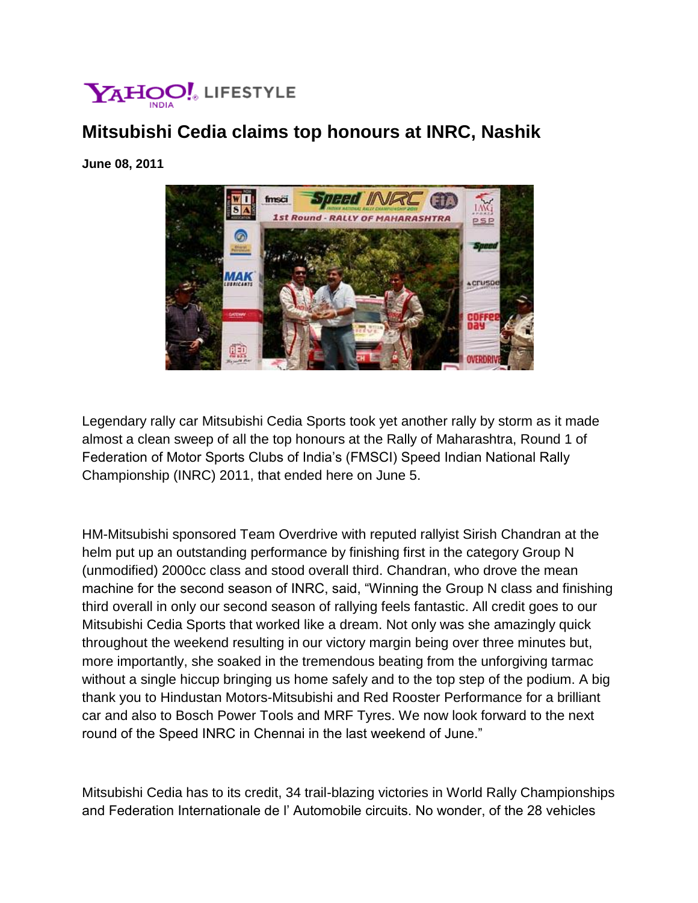

## **Mitsubishi Cedia claims top honours at INRC, Nashik**

## **June 08, 2011**



Legendary rally car Mitsubishi Cedia Sports took yet another rally by storm as it made almost a clean sweep of all the top honours at the Rally of Maharashtra, Round 1 of Federation of Motor Sports Clubs of India's (FMSCI) Speed Indian National Rally Championship (INRC) 2011, that ended here on June 5.

HM-Mitsubishi sponsored Team Overdrive with reputed rallyist Sirish Chandran at the helm put up an outstanding performance by finishing first in the category Group N (unmodified) 2000cc class and stood overall third. Chandran, who drove the mean machine for the second season of INRC, said, "Winning the Group N class and finishing third overall in only our second season of rallying feels fantastic. All credit goes to our Mitsubishi Cedia Sports that worked like a dream. Not only was she amazingly quick throughout the weekend resulting in our victory margin being over three minutes but, more importantly, she soaked in the tremendous beating from the unforgiving tarmac without a single hiccup bringing us home safely and to the top step of the podium. A big thank you to Hindustan Motors-Mitsubishi and Red Rooster Performance for a brilliant car and also to Bosch Power Tools and MRF Tyres. We now look forward to the next round of the Speed INRC in Chennai in the last weekend of June."

Mitsubishi Cedia has to its credit, 34 trail-blazing victories in World Rally Championships and Federation Internationale de l' Automobile circuits. No wonder, of the 28 vehicles